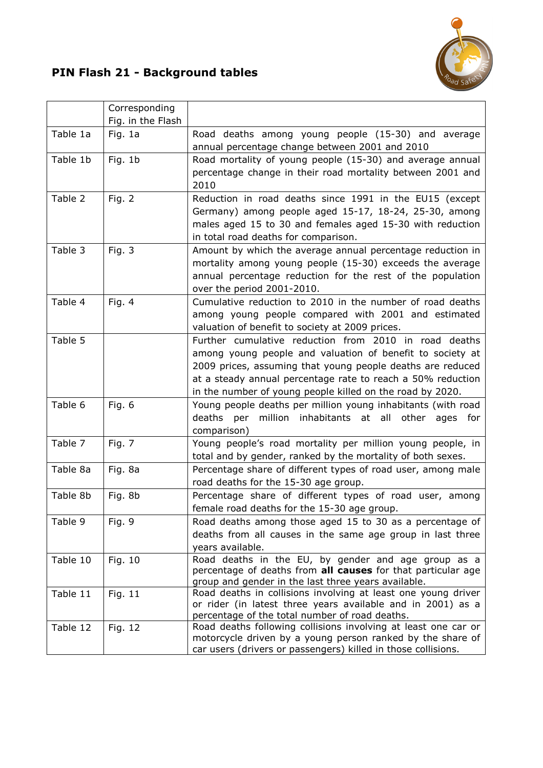

## PIN Flash 21 - Background tables

|          | Corresponding     |                                                                                                                              |
|----------|-------------------|------------------------------------------------------------------------------------------------------------------------------|
|          | Fig. in the Flash |                                                                                                                              |
| Table 1a | Fig. 1a           | Road deaths among young people (15-30) and average                                                                           |
|          |                   | annual percentage change between 2001 and 2010                                                                               |
| Table 1b | Fig. 1b           | Road mortality of young people (15-30) and average annual                                                                    |
|          |                   | percentage change in their road mortality between 2001 and                                                                   |
|          |                   | 2010                                                                                                                         |
| Table 2  | Fig. 2            | Reduction in road deaths since 1991 in the EU15 (except                                                                      |
|          |                   | Germany) among people aged 15-17, 18-24, 25-30, among                                                                        |
|          |                   | males aged 15 to 30 and females aged 15-30 with reduction                                                                    |
|          |                   | in total road deaths for comparison.                                                                                         |
| Table 3  | Fig. 3            | Amount by which the average annual percentage reduction in                                                                   |
|          |                   | mortality among young people (15-30) exceeds the average                                                                     |
|          |                   | annual percentage reduction for the rest of the population                                                                   |
|          |                   | over the period 2001-2010.                                                                                                   |
| Table 4  | Fig. 4            | Cumulative reduction to 2010 in the number of road deaths                                                                    |
|          |                   | among young people compared with 2001 and estimated                                                                          |
|          |                   | valuation of benefit to society at 2009 prices.                                                                              |
| Table 5  |                   | Further cumulative reduction from 2010 in road deaths                                                                        |
|          |                   | among young people and valuation of benefit to society at                                                                    |
|          |                   | 2009 prices, assuming that young people deaths are reduced                                                                   |
|          |                   | at a steady annual percentage rate to reach a 50% reduction                                                                  |
|          |                   | in the number of young people killed on the road by 2020.                                                                    |
| Table 6  | Fig. 6            | Young people deaths per million young inhabitants (with road                                                                 |
|          |                   | million inhabitants at all<br>deaths<br>per<br>other<br>ages<br>for                                                          |
|          |                   | comparison)                                                                                                                  |
| Table 7  | Fig. 7            | Young people's road mortality per million young people, in                                                                   |
|          |                   | total and by gender, ranked by the mortality of both sexes.                                                                  |
| Table 8a | Fig. 8a           | Percentage share of different types of road user, among male                                                                 |
|          |                   | road deaths for the 15-30 age group.                                                                                         |
| Table 8b | Fig. 8b           | Percentage share of different types of road user, among                                                                      |
|          |                   | female road deaths for the 15-30 age group.                                                                                  |
| Table 9  | Fig. 9            | Road deaths among those aged 15 to 30 as a percentage of                                                                     |
|          |                   | deaths from all causes in the same age group in last three                                                                   |
|          |                   | years available.                                                                                                             |
| Table 10 | Fig. 10           | Road deaths in the EU, by gender and age group as a                                                                          |
|          |                   | percentage of deaths from all causes for that particular age                                                                 |
|          |                   | group and gender in the last three years available.                                                                          |
| Table 11 | Fig. 11           | Road deaths in collisions involving at least one young driver<br>or rider (in latest three years available and in 2001) as a |
|          |                   | percentage of the total number of road deaths.                                                                               |
| Table 12 | Fig. 12           | Road deaths following collisions involving at least one car or                                                               |
|          |                   | motorcycle driven by a young person ranked by the share of                                                                   |
|          |                   | car users (drivers or passengers) killed in those collisions.                                                                |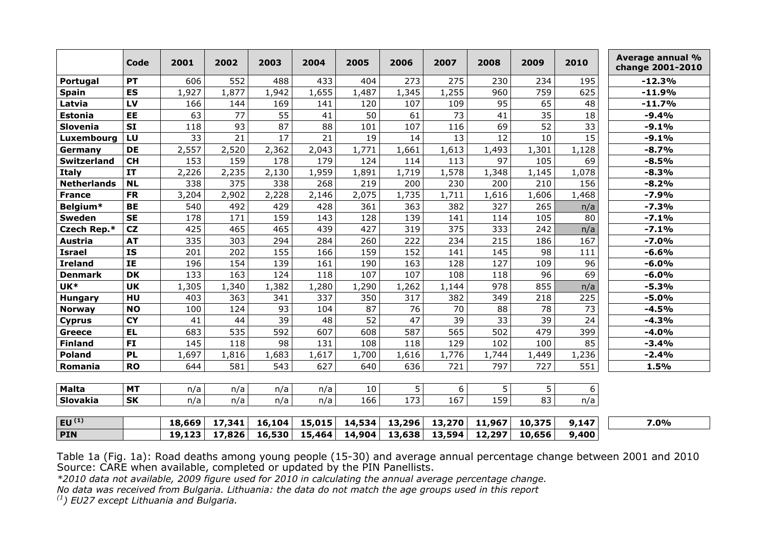|                        | Code                    | 2001               | 2002   | 2003   | 2004   | 2005   | 2006   | 2007   | 2008   | 2009   | 2010  | Average annual %<br>change 2001-2010 |
|------------------------|-------------------------|--------------------|--------|--------|--------|--------|--------|--------|--------|--------|-------|--------------------------------------|
| Portugal               | PT                      | 606                | 552    | 488    | 433    | 404    | 273    | 275    | 230    | 234    | 195   | $-12.3%$                             |
| <b>Spain</b>           | <b>ES</b>               | 1,927              | 1,877  | 1,942  | 1,655  | 1,487  | 1,345  | 1,255  | 960    | 759    | 625   | $-11.9%$                             |
| Latvia                 | LV                      | 166                | 144    | 169    | 141    | 120    | 107    | 109    | 95     | 65     | 48    | $-11.7%$                             |
| <b>Estonia</b>         | EE                      | 63                 | 77     | 55     | 41     | 50     | 61     | 73     | 41     | 35     | 18    | $-9.4%$                              |
| Slovenia               | <b>SI</b>               | 118                | 93     | 87     | 88     | 101    | 107    | 116    | 69     | 52     | 33    | $-9.1%$                              |
| Luxembourg             | LU                      | 33                 | 21     | 17     | 21     | 19     | 14     | 13     | 12     | 10     | 15    | $-9.1%$                              |
| Germany                | <b>DE</b>               | $2,55\overline{7}$ | 2,520  | 2,362  | 2,043  | 1,771  | 1,661  | 1,613  | 1,493  | 1,301  | 1,128 | $-8.7%$                              |
| <b>Switzerland</b>     | <b>CH</b>               | 153                | 159    | 178    | 179    | 124    | 114    | 113    | 97     | 105    | 69    | $-8.5%$                              |
| <b>Italy</b>           | <b>IT</b>               | 2,226              | 2,235  | 2,130  | 1,959  | 1,891  | 1,719  | 1,578  | 1,348  | 1,145  | 1,078 | $-8.3%$                              |
| <b>Netherlands</b>     | <b>NL</b>               | 338                | 375    | 338    | 268    | 219    | 200    | 230    | 200    | 210    | 156   | $-8.2%$                              |
| <b>France</b>          | <b>FR</b>               | 3,204              | 2,902  | 2,228  | 2,146  | 2,075  | 1,735  | 1,711  | 1,616  | 1,606  | 1,468 | $-7.9%$                              |
| Belgium*               | <b>BE</b>               | 540                | 492    | 429    | 428    | 361    | 363    | 382    | 327    | 265    | n/a   | $-7.3%$                              |
| <b>Sweden</b>          | <b>SE</b>               | 178                | 171    | 159    | 143    | 128    | 139    | 141    | 114    | 105    | 80    | $-7.1%$                              |
| Czech Rep.*            | CZ                      | 425                | 465    | 465    | 439    | 427    | 319    | 375    | 333    | 242    | n/a   | $-7.1%$                              |
| <b>Austria</b>         | <b>AT</b>               | 335                | 303    | 294    | 284    | 260    | 222    | 234    | 215    | 186    | 167   | $-7.0%$                              |
| <b>Israel</b>          | $\overline{\mathbf{I}}$ | 201                | 202    | 155    | 166    | 159    | 152    | 141    | 145    | 98     | 111   | $-6.6%$                              |
| <b>Ireland</b>         | IE                      | 196                | 154    | 139    | 161    | 190    | 163    | 128    | 127    | 109    | 96    | $-6.0%$                              |
| <b>Denmark</b>         | <b>DK</b>               | 133                | 163    | 124    | 118    | 107    | 107    | 108    | 118    | 96     | 69    | $-6.0%$                              |
| UK*                    | <b>UK</b>               | 1,305              | 1,340  | 1,382  | 1,280  | 1,290  | 1,262  | 1,144  | 978    | 855    | n/a   | $-5.3%$                              |
| <b>Hungary</b>         | HU                      | 403                | 363    | 341    | 337    | 350    | 317    | 382    | 349    | 218    | 225   | $-5.0%$                              |
| <b>Norway</b>          | <b>NO</b>               | 100                | 124    | 93     | 104    | 87     | 76     | 70     | 88     | 78     | 73    | $-4.5%$                              |
| <b>Cyprus</b>          | <b>CY</b>               | 41                 | 44     | 39     | 48     | 52     | 47     | 39     | 33     | 39     | 24    | $-4.3%$                              |
| <b>Greece</b>          | <b>EL</b>               | 683                | 535    | 592    | 607    | 608    | 587    | 565    | 502    | 479    | 399   | $-4.0%$                              |
| <b>Finland</b>         | <b>FI</b>               | 145                | 118    | 98     | 131    | 108    | 118    | 129    | 102    | 100    | 85    | $-3.4%$                              |
| <b>Poland</b>          | <b>PL</b>               | 1,697              | 1,816  | 1,683  | 1,617  | 1,700  | 1,616  | 1,776  | 1,744  | 1,449  | 1,236 | $-2.4%$                              |
| Romania                | <b>RO</b>               | 644                | 581    | 543    | 627    | 640    | 636    | 721    | 797    | 727    | 551   | 1.5%                                 |
|                        |                         |                    |        |        |        |        |        |        |        |        |       |                                      |
| <b>Malta</b>           | <b>MT</b>               | n/a                | n/a    | n/a    | n/a    | 10     | 5      | 6      | 5      | 5      | 6     |                                      |
| Slovakia               | <b>SK</b>               | n/a                | n/a    | n/a    | n/a    | 166    | 173    | 167    | 159    | 83     | n/a   |                                      |
|                        |                         |                    |        |        |        |        |        |        |        |        |       |                                      |
| EU $\overline{^{(1)}}$ |                         | 18,669             | 17,341 | 16,104 | 15,015 | 14,534 | 13,296 | 13,270 | 11,967 | 10,375 | 9,147 | 7.0%                                 |
| <b>PIN</b>             |                         | 19,123             | 17,826 | 16,530 | 15,464 | 14,904 | 13,638 | 13,594 | 12,297 | 10,656 | 9,400 |                                      |

Table 1a (Fig. 1a): Road deaths among young people (15-30) and average annual percentage change between 2001 and 2010 Source: CARE when available, completed or updated by the PIN Panellists.

\*2010 data not available, 2009 figure used for 2010 in calculating the annual average percentage change.

No data was received from Bulgaria. Lithuania: the data do not match the age groups used in this report

 $(1)$  EU27 except Lithuania and Bulgaria.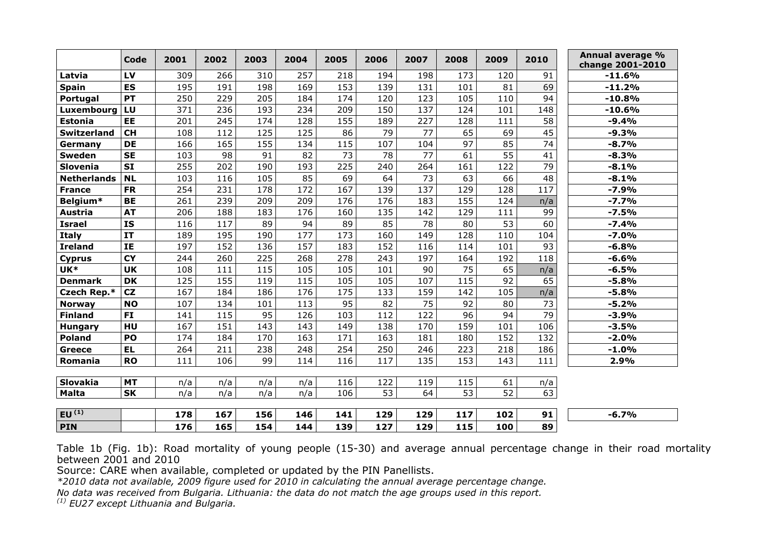|                    | Code      | 2001 | 2002 | 2003 | 2004 | 2005 | 2006            | 2007 | 2008 | 2009            | 2010            | Annual average %<br>change 2001-2010 |
|--------------------|-----------|------|------|------|------|------|-----------------|------|------|-----------------|-----------------|--------------------------------------|
| Latvia             | LV        | 309  | 266  | 310  | 257  | 218  | 194             | 198  | 173  | 120             | 91              | $-11.6%$                             |
| <b>Spain</b>       | ES        | 195  | 191  | 198  | 169  | 153  | 139             | 131  | 101  | 81              | 69              | $-11.2%$                             |
| Portugal           | <b>PT</b> | 250  | 229  | 205  | 184  | 174  | 120             | 123  | 105  | 110             | 94              | $-10.8%$                             |
| Luxembourg         | LU        | 371  | 236  | 193  | 234  | 209  | 150             | 137  | 124  | 101             | 148             | $-10.6%$                             |
| <b>Estonia</b>     | EE        | 201  | 245  | 174  | 128  | 155  | 189             | 227  | 128  | 111             | 58              | $-9.4%$                              |
| <b>Switzerland</b> | <b>CH</b> | 108  | 112  | 125  | 125  | 86   | 79              | 77   | 65   | 69              | 45              | $-9.3%$                              |
| Germany            | <b>DE</b> | 166  | 165  | 155  | 134  | 115  | 107             | 104  | 97   | 85              | $\overline{74}$ | $-8.7%$                              |
| <b>Sweden</b>      | <b>SE</b> | 103  | 98   | 91   | 82   | 73   | 78              | 77   | 61   | 55              | 41              | $-8.3%$                              |
| Slovenia           | <b>SI</b> | 255  | 202  | 190  | 193  | 225  | 240             | 264  | 161  | 122             | $\overline{79}$ | $-8.1%$                              |
| <b>Netherlands</b> | <b>NL</b> | 103  | 116  | 105  | 85   | 69   | 64              | 73   | 63   | 66              | 48              | $-8.1%$                              |
| <b>France</b>      | <b>FR</b> | 254  | 231  | 178  | 172  | 167  | 139             | 137  | 129  | 128             | 117             | $-7.9%$                              |
| Belgium*           | <b>BE</b> | 261  | 239  | 209  | 209  | 176  | 176             | 183  | 155  | 124             | n/a             | $-7.7%$                              |
| Austria            | <b>AT</b> | 206  | 188  | 183  | 176  | 160  | 135             | 142  | 129  | 111             | 99              | $-7.5%$                              |
| <b>Israel</b>      | <b>IS</b> | 116  | 117  | 89   | 94   | 89   | 85              | 78   | 80   | 53              | 60              | $-7.4%$                              |
| <b>Italy</b>       | IT        | 189  | 195  | 190  | 177  | 173  | 160             | 149  | 128  | 110             | 104             | $-7.0%$                              |
| <b>Ireland</b>     | IE        | 197  | 152  | 136  | 157  | 183  | 152             | 116  | 114  | 101             | 93              | $-6.8%$                              |
| <b>Cyprus</b>      | <b>CY</b> | 244  | 260  | 225  | 268  | 278  | 243             | 197  | 164  | 192             | 118             | $-6.6%$                              |
| UK*                | <b>UK</b> | 108  | 111  | 115  | 105  | 105  | 101             | 90   | 75   | 65              | n/a             | $-6.5%$                              |
| <b>Denmark</b>     | <b>DK</b> | 125  | 155  | 119  | 115  | 105  | 105             | 107  | 115  | 92              | 65              | $-5.8%$                              |
| Czech Rep.*        | CZ        | 167  | 184  | 186  | 176  | 175  | 133             | 159  | 142  | 105             | n/a             | $-5.8%$                              |
| <b>Norway</b>      | <b>NO</b> | 107  | 134  | 101  | 113  | 95   | 82              | 75   | 92   | 80              | 73              | $-5.2%$                              |
| <b>Finland</b>     | <b>FI</b> | 141  | 115  | 95   | 126  | 103  | 112             | 122  | 96   | 94              | $\overline{79}$ | $-3.9%$                              |
| <b>Hungary</b>     | HU        | 167  | 151  | 143  | 143  | 149  | 138             | 170  | 159  | 101             | 106             | $-3.5%$                              |
| <b>Poland</b>      | PO        | 174  | 184  | 170  | 163  | 171  | 163             | 181  | 180  | 152             | 132             | $-2.0%$                              |
| <b>Greece</b>      | <b>EL</b> | 264  | 211  | 238  | 248  | 254  | 250             | 246  | 223  | 218             | 186             | $-1.0%$                              |
| Romania            | <b>RO</b> | 111  | 106  | 99   | 114  | 116  | 117             | 135  | 153  | 143             | 111             | 2.9%                                 |
|                    |           |      |      |      |      |      |                 |      |      |                 |                 |                                      |
| Slovakia           | <b>MT</b> | n/a  | n/a  | n/a  | n/a  | 116  | 122             | 119  | 115  | 61              | n/a             |                                      |
| <b>Malta</b>       | <b>SK</b> | n/a  | n/a  | n/a  | n/a  | 106  | $\overline{53}$ | 64   | 53   | $\overline{52}$ | 63              |                                      |
| $EU^{(1)}$         |           | 178  | 167  | 156  | 146  | 141  | 129             | 129  | 117  | 102             | 91              | $-6.7%$                              |
| <b>PIN</b>         |           | 176  | 165  | 154  | 144  | 139  | 127             | 129  | 115  | 100             | 89              |                                      |
|                    |           |      |      |      |      |      |                 |      |      |                 |                 |                                      |

Table 1b (Fig. 1b): Road mortality of young people (15-30) and average annual percentage change in their road mortality between 2001 and 2010

Source: CARE when available, completed or updated by the PIN Panellists.

\*2010 data not available, 2009 figure used for 2010 in calculating the annual average percentage change.

No data was received from Bulgaria. Lithuania: the data do not match the age groups used in this report.

 $(1)$  EU27 except Lithuania and Bulgaria.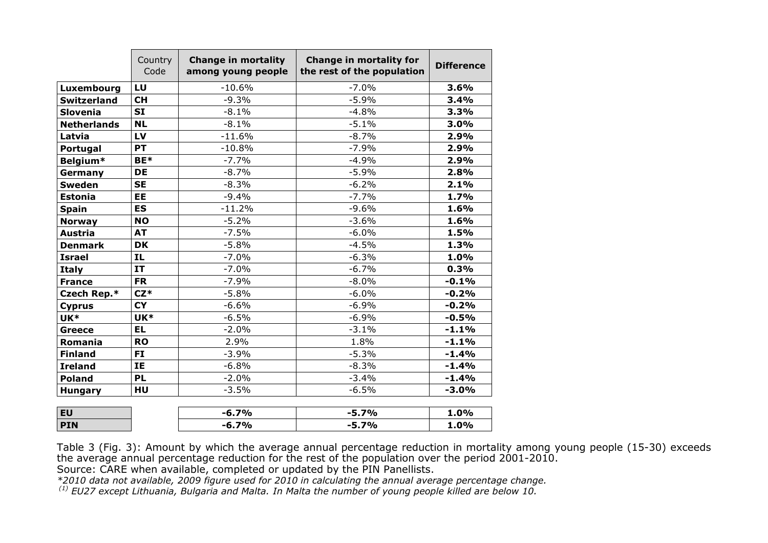|                    | Country<br>Code | <b>Change in mortality</b><br>among young people | <b>Change in mortality for</b><br>the rest of the population | <b>Difference</b> |
|--------------------|-----------------|--------------------------------------------------|--------------------------------------------------------------|-------------------|
| Luxembourg         | LU              | $-10.6%$                                         | $-7.0%$                                                      | 3.6%              |
| <b>Switzerland</b> | <b>CH</b>       | $-9.3%$                                          | $-5.9%$                                                      | 3.4%              |
| <b>Slovenia</b>    | <b>SI</b>       | $-8.1%$                                          | $-4.8%$                                                      | 3.3%              |
| <b>Netherlands</b> | <b>NL</b>       | $-8.1%$                                          | $-5.1%$                                                      | 3.0%              |
| Latvia             | LV              | $-11.6%$                                         | $-8.7%$                                                      | 2.9%              |
| Portugal           | <b>PT</b>       | $-10.8%$                                         | $-7.9%$                                                      | 2.9%              |
| Belgium*           | BE*             | $-7.7%$                                          | $-4.9%$                                                      | 2.9%              |
| Germany            | <b>DE</b>       | $-8.7%$                                          | $-5.9%$                                                      | 2.8%              |
| <b>Sweden</b>      | <b>SE</b>       | $-8.3%$                                          | $-6.2%$                                                      | 2.1%              |
| <b>Estonia</b>     | <b>EE</b>       | $-9.4%$                                          | $-7.7%$                                                      | 1.7%              |
| <b>Spain</b>       | <b>ES</b>       | $-11.2%$                                         | $-9.6%$                                                      | 1.6%              |
| <b>Norway</b>      | <b>NO</b>       | $-5.2%$                                          | $-3.6%$                                                      | 1.6%              |
| <b>Austria</b>     | <b>AT</b>       | $-7.5%$                                          | $-6.0%$                                                      | 1.5%              |
| <b>Denmark</b>     | <b>DK</b>       | $-5.8%$                                          | $-4.5%$                                                      | 1.3%              |
| <b>Israel</b>      | IL.             | $-7.0%$                                          | $-6.3%$                                                      | 1.0%              |
| <b>Italy</b>       | <b>IT</b>       | $-7.0%$                                          | $-6.7%$                                                      | 0.3%              |
| <b>France</b>      | <b>FR</b>       | $-7.9%$                                          | $-8.0%$                                                      | $-0.1%$           |
| Czech Rep.*        | $CZ^*$          | $-5.8%$                                          | $-6.0%$                                                      | $-0.2%$           |
| <b>Cyprus</b>      | <b>CY</b>       | $-6.6%$                                          | $-6.9%$                                                      | $-0.2%$           |
| UK*                | UK*             | $-6.5%$                                          | $-6.9%$                                                      | $-0.5%$           |
| <b>Greece</b>      | <b>EL</b>       | $-2.0%$                                          | $-3.1%$                                                      | $-1.1%$           |
| Romania            | <b>RO</b>       | 2.9%                                             | 1.8%                                                         | $-1.1%$           |
| <b>Finland</b>     | FI.             | $-3.9%$                                          | $-5.3%$                                                      | $-1.4%$           |
| <b>Ireland</b>     | <b>IE</b>       | $-6.8%$                                          | $-8.3%$                                                      | $-1.4%$           |
| <b>Poland</b>      | <b>PL</b>       | $-2.0%$                                          | $-3.4%$                                                      | $-1.4%$           |
| <b>Hungary</b>     | HU              | $-3.5%$                                          | $-6.5%$                                                      | $-3.0%$           |
| <b>EU</b>          |                 | $-6.7%$                                          | $-5.7%$                                                      | 1.0%              |
| <b>PIN</b>         |                 | $-6.7%$                                          | $-5.7%$                                                      | 1.0%              |

Table 3 (Fig. 3): Amount by which the average annual percentage reduction in mortality among young people (15-30) exceeds the average annual percentage reduction for the rest of the population over the period 2001-2010. Source: CARE when available, completed or updated by the PIN Panellists.

\*2010 data not available, 2009 figure used for 2010 in calculating the annual average percentage change.

 $^{(1)}$  EU27 except Lithuania, Bulgaria and Malta. In Malta the number of young people killed are below 10.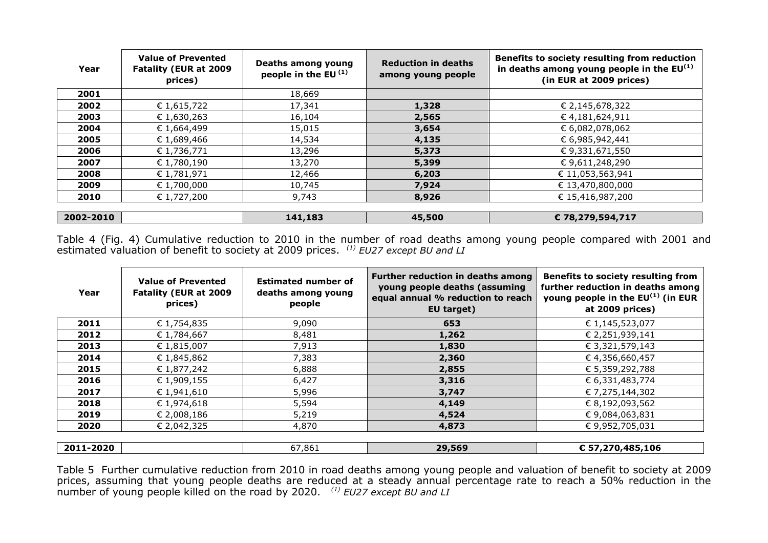| Year      | <b>Value of Prevented</b><br><b>Fatality (EUR at 2009</b><br>prices) | Deaths among young<br>people in the EU $(1)$ | <b>Reduction in deaths</b><br>among young people | Benefits to society resulting from reduction<br>in deaths among young people in the $EU^{(1)}$<br>(in EUR at 2009 prices) |
|-----------|----------------------------------------------------------------------|----------------------------------------------|--------------------------------------------------|---------------------------------------------------------------------------------------------------------------------------|
| 2001      |                                                                      | 18,669                                       |                                                  |                                                                                                                           |
| 2002      | € 1,615,722                                                          | 17,341                                       | 1,328                                            | € 2,145,678,322                                                                                                           |
| 2003      | € 1,630,263                                                          | 16,104                                       | 2,565                                            | €4,181,624,911                                                                                                            |
| 2004      | € 1,664,499                                                          | 15,015                                       | 3,654                                            | € 6,082,078,062                                                                                                           |
| 2005      | € 1,689,466                                                          | 14,534                                       | 4,135                                            | € 6,985,942,441                                                                                                           |
| 2006      | € 1,736,771                                                          | 13,296                                       | 5,373                                            | € 9,331,671,550                                                                                                           |
| 2007      | € 1,780,190                                                          | 13,270                                       | 5,399                                            | € 9,611,248,290                                                                                                           |
| 2008      | € 1,781,971                                                          | 12,466                                       | 6,203                                            | € 11,053,563,941                                                                                                          |
| 2009      | € 1,700,000                                                          | 10,745                                       | 7,924                                            | € 13,470,800,000                                                                                                          |
| 2010      | € 1,727,200                                                          | 9,743                                        | 8,926                                            | € 15,416,987,200                                                                                                          |
|           |                                                                      |                                              |                                                  |                                                                                                                           |
| 2002-2010 |                                                                      | 141,183                                      | 45,500                                           | € 78,279,594,717                                                                                                          |

Table 4 (Fig. 4) Cumulative reduction to 2010 in the number of road deaths among young people compared with 2001 and<br>estimated valuation of benefit to society at 2009 prices. *(1) EU27 except BU and LI* 

| Year      | <b>Value of Prevented</b><br><b>Fatality (EUR at 2009</b><br>prices) | <b>Estimated number of</b><br>deaths among young<br>people | Further reduction in deaths among<br>young people deaths (assuming<br>equal annual % reduction to reach<br>EU target) | <b>Benefits to society resulting from</b><br>further reduction in deaths among<br>young people in the $EU^{(1)}$ (in EUR<br>at 2009 prices) |
|-----------|----------------------------------------------------------------------|------------------------------------------------------------|-----------------------------------------------------------------------------------------------------------------------|---------------------------------------------------------------------------------------------------------------------------------------------|
| 2011      | € 1,754,835                                                          | 9,090                                                      | 653                                                                                                                   | € 1,145,523,077                                                                                                                             |
| 2012      | € 1,784,667                                                          | 8,481                                                      | 1,262                                                                                                                 | € 2,251,939,141                                                                                                                             |
| 2013      | € 1,815,007                                                          | 7,913                                                      | 1,830                                                                                                                 | € 3,321,579,143                                                                                                                             |
| 2014      | € 1,845,862                                                          | 7,383                                                      | 2,360                                                                                                                 | € 4,356,660,457                                                                                                                             |
| 2015      | € 1,877,242                                                          | 6,888                                                      | 2,855                                                                                                                 | € 5,359,292,788                                                                                                                             |
| 2016      | € 1,909,155                                                          | 6,427                                                      | 3,316                                                                                                                 | € 6,331,483,774                                                                                                                             |
| 2017      | € 1,941,610                                                          | 5,996                                                      | 3,747                                                                                                                 | € 7,275,144,302                                                                                                                             |
| 2018      | € 1,974,618                                                          | 5,594                                                      | 4,149                                                                                                                 | € 8,192,093,562                                                                                                                             |
| 2019      | € 2,008,186                                                          | 5,219                                                      | 4,524                                                                                                                 | € 9,084,063,831                                                                                                                             |
| 2020      | € 2,042,325                                                          | 4,870                                                      | 4,873                                                                                                                 | € 9,952,705,031                                                                                                                             |
|           |                                                                      |                                                            |                                                                                                                       |                                                                                                                                             |
| 2011-2020 |                                                                      | 67,861                                                     | 29,569                                                                                                                | € 57,270,485,106                                                                                                                            |

Table 5 Further cumulative reduction from 2010 in road deaths among young people and valuation of benefit to society at 2009<br>prices, assuming that young people deaths are reduced at a steady annual percentage rate to reach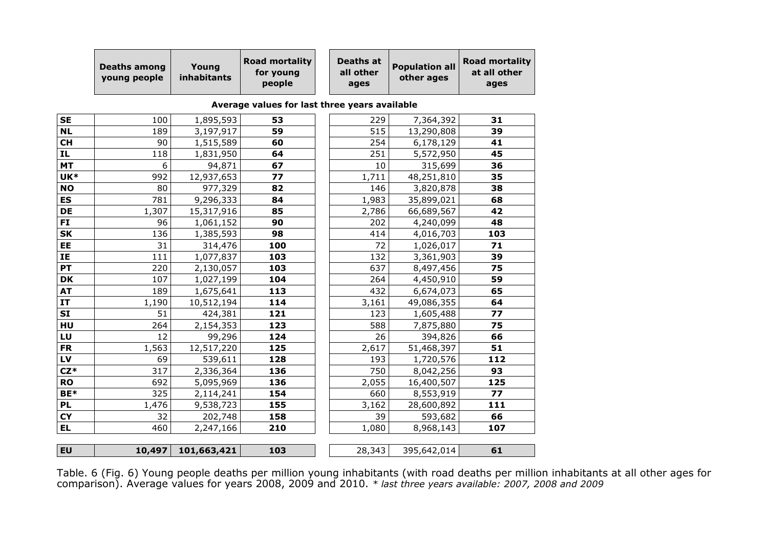|                                   | <b>Deaths among</b><br>young people | Young<br>inhabitants | <b>Road mortality</b><br>for young<br>people  | <b>Deaths at</b><br>all other<br>ages | <b>Population all</b><br>other ages | <b>Road mortality</b><br>at all other<br>ages |
|-----------------------------------|-------------------------------------|----------------------|-----------------------------------------------|---------------------------------------|-------------------------------------|-----------------------------------------------|
|                                   |                                     |                      | Average values for last three years available |                                       |                                     |                                               |
| <b>SE</b>                         | 100                                 | 1,895,593            | 53                                            | 229                                   | 7,364,392                           | 31                                            |
| <b>NL</b>                         | 189                                 | 3,197,917            | 59                                            | 515                                   | 13,290,808                          | 39                                            |
| <b>CH</b>                         | 90                                  | 1,515,589            | 60                                            | 254                                   | 6,178,129                           | 41                                            |
| IL                                | 118                                 | 1,831,950            | 64                                            | 251                                   | 5,572,950                           | 45                                            |
| <b>MT</b>                         | 6                                   | 94,871               | 67                                            | 10                                    | 315,699                             | 36                                            |
| UK*                               | 992                                 | 12,937,653           | 77                                            | 1,711                                 | 48,251,810                          | 35                                            |
| <b>NO</b>                         | 80                                  | 977,329              | 82                                            | 146                                   | 3,820,878                           | 38                                            |
| <b>ES</b>                         | 781                                 | 9,296,333            | 84                                            | 1,983                                 | 35,899,021                          | 68                                            |
| DE                                | 1,307                               | 15,317,916           | 85                                            | 2,786                                 | 66,689,567                          | 42                                            |
| FI                                | 96                                  | 1,061,152            | 90                                            | 202                                   | 4,240,099                           | 48                                            |
| SK                                | 136                                 | 1,385,593            | 98                                            | 414                                   | 4,016,703                           | 103                                           |
| EE                                | 31                                  | 314,476              | 100                                           | 72                                    | 1,026,017                           | 71                                            |
| ΙE                                | 111                                 | 1,077,837            | 103                                           | 132                                   | 3,361,903                           | 39                                            |
| PT                                | 220                                 | 2,130,057            | 103                                           | 637                                   | 8,497,456                           | 75                                            |
| $\overline{\mathsf{DK}}$          | 107                                 | 1,027,199            | 104                                           | 264                                   | 4,450,910                           | 59                                            |
| AT                                | 189                                 | 1,675,641            | 113                                           | 432                                   | 6,674,073                           | 65                                            |
| IT                                | 1,190                               | 10,512,194           | 114                                           | 3,161                                 | 49,086,355                          | 64                                            |
| SI                                | 51                                  | 424,381              | 121                                           | 123                                   | 1,605,488                           | 77                                            |
| HU                                | 264                                 | 2,154,353            | 123                                           | 588                                   | 7,875,880                           | 75                                            |
| LU                                | 12                                  | 99,296               | 124                                           | 26                                    | 394,826                             | 66                                            |
| <b>FR</b>                         | 1,563                               | 12,517,220           | 125                                           | 2,617                                 | 51,468,397                          | 51                                            |
| LV                                | 69                                  | 539,611              | 128                                           | 193                                   | 1,720,576                           | 112                                           |
| $CZ^*$                            | 317                                 | 2,336,364            | 136                                           | 750                                   | 8,042,256                           | 93                                            |
| <b>RO</b>                         | 692                                 | 5,095,969            | 136                                           | 2,055                                 | 16,400,507                          | 125                                           |
| BE*                               | 325                                 | 2,114,241            | 154                                           | 660                                   | 8,553,919                           | 77                                            |
| <b>PL</b>                         | 1,476                               | 9,538,723            | 155                                           | 3,162                                 | 28,600,892                          | 111                                           |
| $\overline{\mathsf{C}\mathsf{Y}}$ | 32                                  | 202,748              | 158                                           | 39                                    | 593,682                             | 66                                            |
| EL                                | 460                                 | 2,247,166            | 210                                           | 1,080                                 | 8,968,143                           | 107                                           |
| EU                                | 10,497                              | 101,663,421          | 103                                           | 28,343                                | 395,642,014                         | 61                                            |
|                                   |                                     |                      |                                               |                                       |                                     |                                               |

Table. 6 (Fig. 6) Young people deaths per million young inhabitants (with road deaths per million inhabitants at all other ages for<br>comparison). Average values for years 2008, 2009 and 2010. \* *last three years available:*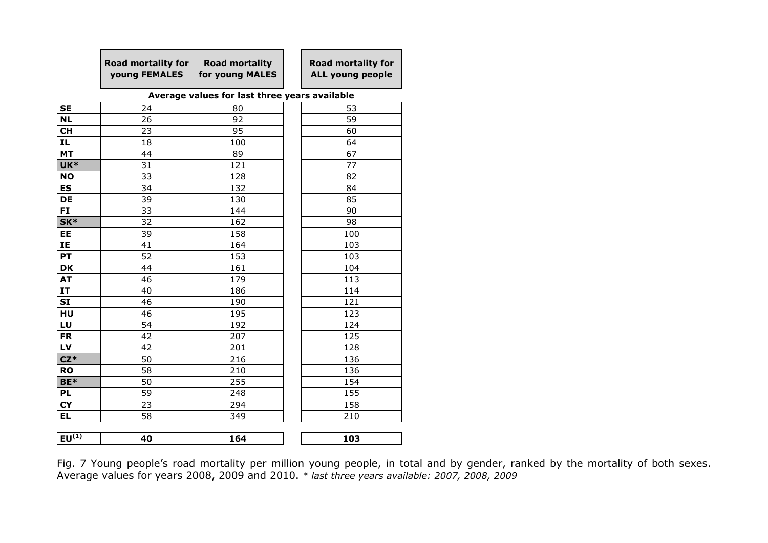| <b>Road mortality for</b><br><b>voung FEMALES</b> | <b>Road mortality</b><br>for young MALES | <b>Road mortality for</b><br>ALL young people |
|---------------------------------------------------|------------------------------------------|-----------------------------------------------|
|                                                   |                                          |                                               |

## Average values for last three years available

| <b>SE</b>  | 24 | 80  | 53  |
|------------|----|-----|-----|
| <b>NL</b>  | 26 | 92  | 59  |
| <b>CH</b>  | 23 | 95  | 60  |
| IL.        | 18 | 100 | 64  |
| <b>MT</b>  | 44 | 89  | 67  |
| UK*        | 31 | 121 | 77  |
| <b>NO</b>  | 33 | 128 | 82  |
| <b>ES</b>  | 34 | 132 | 84  |
| DE         | 39 | 130 | 85  |
| <b>FI</b>  | 33 | 144 | 90  |
| SK*        | 32 | 162 | 98  |
| EE         | 39 | 158 | 100 |
| IE         | 41 | 164 | 103 |
| PT         | 52 | 153 | 103 |
| <b>DK</b>  | 44 | 161 | 104 |
| <b>AT</b>  | 46 | 179 | 113 |
| IT         | 40 | 186 | 114 |
| <b>SI</b>  | 46 | 190 | 121 |
| HU         | 46 | 195 | 123 |
| LU         | 54 | 192 | 124 |
| <b>FR</b>  | 42 | 207 | 125 |
| LV         | 42 | 201 | 128 |
| $CZ*$      | 50 | 216 | 136 |
| <b>RO</b>  | 58 | 210 | 136 |
| BE*        | 50 | 255 | 154 |
| <b>PL</b>  | 59 | 248 | 155 |
| <b>CY</b>  | 23 | 294 | 158 |
| EL         | 58 | 349 | 210 |
|            |    |     |     |
| $EU^{(1)}$ | 40 | 164 | 103 |
|            |    |     |     |

Fig. 7 Young people's road mortality per million young people, in total and by gender, ranked by the mortality of both sexes. Average values for years 2008, 2009 and 2010. \* last three years available: 2007, 2008, 2009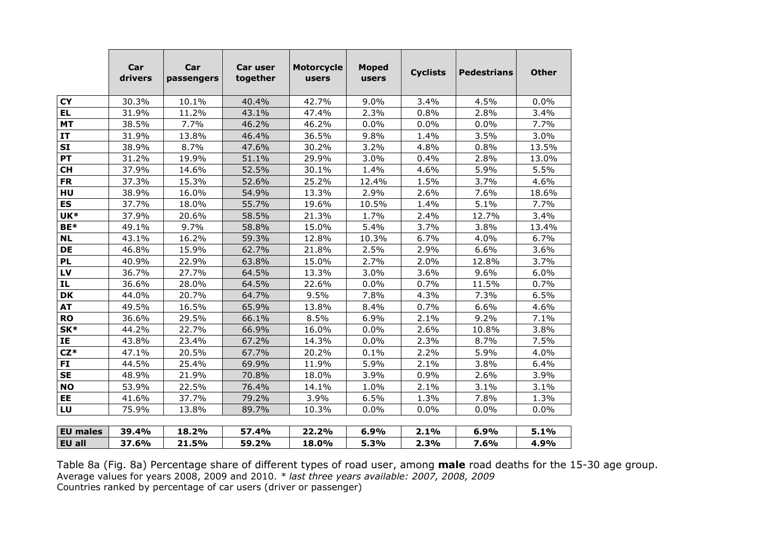|                 | Car<br>drivers | Car<br>passengers | Car user<br>together | <b>Motorcycle</b><br>users | <b>Moped</b><br>users | <b>Cyclists</b> | <b>Pedestrians</b> | <b>Other</b> |
|-----------------|----------------|-------------------|----------------------|----------------------------|-----------------------|-----------------|--------------------|--------------|
| <b>CY</b>       | 30.3%          | 10.1%             | 40.4%                | 42.7%                      | 9.0%                  | 3.4%            | 4.5%               | 0.0%         |
| <b>EL</b>       | 31.9%          | 11.2%             | 43.1%                | 47.4%                      | 2.3%                  | 0.8%            | 2.8%               | 3.4%         |
| <b>MT</b>       | 38.5%          | 7.7%              | 46.2%                | 46.2%                      | 0.0%                  | 0.0%            | 0.0%               | 7.7%         |
| IT              | 31.9%          | 13.8%             | 46.4%                | 36.5%                      | 9.8%                  | 1.4%            | 3.5%               | 3.0%         |
| <b>SI</b>       | 38.9%          | 8.7%              | 47.6%                | 30.2%                      | 3.2%                  | 4.8%            | 0.8%               | 13.5%        |
| PT              | 31.2%          | 19.9%             | 51.1%                | 29.9%                      | 3.0%                  | 0.4%            | 2.8%               | 13.0%        |
| <b>CH</b>       | 37.9%          | 14.6%             | 52.5%                | 30.1%                      | 1.4%                  | 4.6%            | 5.9%               | 5.5%         |
| <b>FR</b>       | 37.3%          | 15.3%             | 52.6%                | 25.2%                      | 12.4%                 | 1.5%            | 3.7%               | 4.6%         |
| HU              | 38.9%          | 16.0%             | 54.9%                | 13.3%                      | 2.9%                  | 2.6%            | 7.6%               | 18.6%        |
| <b>ES</b>       | 37.7%          | 18.0%             | 55.7%                | 19.6%                      | 10.5%                 | 1.4%            | 5.1%               | 7.7%         |
| UK*             | 37.9%          | 20.6%             | 58.5%                | 21.3%                      | 1.7%                  | 2.4%            | 12.7%              | 3.4%         |
| BE*             | 49.1%          | 9.7%              | 58.8%                | 15.0%                      | 5.4%                  | 3.7%            | 3.8%               | 13.4%        |
| <b>NL</b>       | 43.1%          | 16.2%             | 59.3%                | 12.8%                      | 10.3%                 | 6.7%            | 4.0%               | 6.7%         |
| <b>DE</b>       | 46.8%          | 15.9%             | 62.7%                | 21.8%                      | 2.5%                  | 2.9%            | 6.6%               | 3.6%         |
| <b>PL</b>       | 40.9%          | 22.9%             | 63.8%                | 15.0%                      | 2.7%                  | 2.0%            | 12.8%              | 3.7%         |
| LV              | 36.7%          | 27.7%             | 64.5%                | 13.3%                      | 3.0%                  | 3.6%            | 9.6%               | 6.0%         |
| <b>IL</b>       | 36.6%          | 28.0%             | 64.5%                | 22.6%                      | 0.0%                  | 0.7%            | 11.5%              | 0.7%         |
| <b>DK</b>       | 44.0%          | 20.7%             | 64.7%                | 9.5%                       | 7.8%                  | 4.3%            | 7.3%               | 6.5%         |
| <b>AT</b>       | 49.5%          | 16.5%             | 65.9%                | 13.8%                      | 8.4%                  | 0.7%            | 6.6%               | 4.6%         |
| <b>RO</b>       | 36.6%          | 29.5%             | 66.1%                | 8.5%                       | 6.9%                  | 2.1%            | 9.2%               | 7.1%         |
| SK*             | 44.2%          | 22.7%             | 66.9%                | 16.0%                      | 0.0%                  | 2.6%            | 10.8%              | 3.8%         |
| IE              | 43.8%          | 23.4%             | 67.2%                | 14.3%                      | 0.0%                  | 2.3%            | 8.7%               | 7.5%         |
| $CZ^*$          | 47.1%          | 20.5%             | 67.7%                | 20.2%                      | 0.1%                  | 2.2%            | 5.9%               | 4.0%         |
| <b>FI</b>       | 44.5%          | 25.4%             | 69.9%                | 11.9%                      | 5.9%                  | 2.1%            | 3.8%               | 6.4%         |
| <b>SE</b>       | 48.9%          | 21.9%             | 70.8%                | 18.0%                      | 3.9%                  | 0.9%            | 2.6%               | 3.9%         |
| <b>NO</b>       | 53.9%          | 22.5%             | 76.4%                | 14.1%                      | 1.0%                  | 2.1%            | 3.1%               | 3.1%         |
| EE              | 41.6%          | 37.7%             | 79.2%                | 3.9%                       | 6.5%                  | 1.3%            | 7.8%               | 1.3%         |
| LU              | 75.9%          | 13.8%             | 89.7%                | 10.3%                      | 0.0%                  | 0.0%            | 0.0%               | 0.0%         |
| <b>EU males</b> | 39.4%          | 18.2%             | 57.4%                | 22.2%                      | 6.9%                  | 2.1%            | 6.9%               | 5.1%         |
| EU all          | 37.6%          | 21.5%             | 59.2%                | 18.0%                      | 5.3%                  | 2.3%            | 7.6%               | 4.9%         |

Table 8a (Fig. 8a) Percentage share of different types of road user, among **male** road deaths for the 15-30 age group.<br>Average values for years 2008, 2009 and 2010. \* *last three years available: 2007, 2008, 2009*<br>Countrie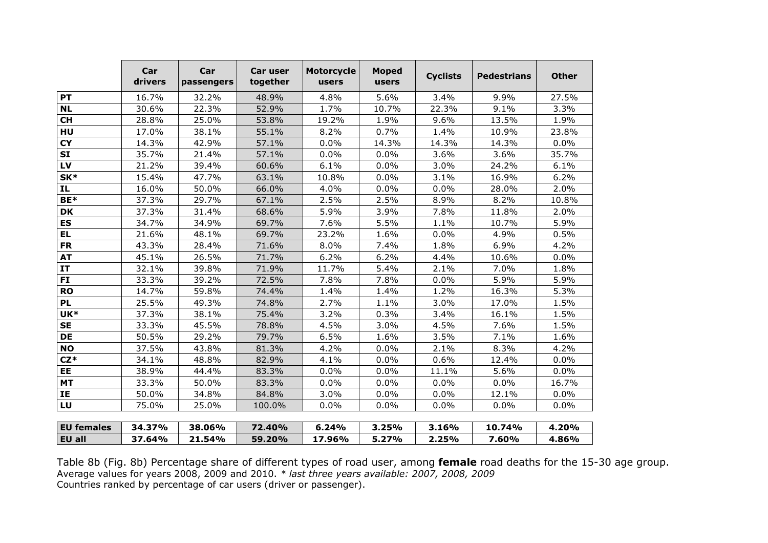|                   | Car<br>drivers | Car<br>passengers | Car user<br>together | <b>Motorcycle</b><br>users | <b>Moped</b><br>users | <b>Cyclists</b> | <b>Pedestrians</b> | <b>Other</b> |
|-------------------|----------------|-------------------|----------------------|----------------------------|-----------------------|-----------------|--------------------|--------------|
| PT                | 16.7%          | 32.2%             | 48.9%                | 4.8%                       | 5.6%                  | 3.4%            | 9.9%               | 27.5%        |
| <b>NL</b>         | 30.6%          | 22.3%             | 52.9%                | 1.7%                       | 10.7%                 | 22.3%           | 9.1%               | 3.3%         |
| <b>CH</b>         | 28.8%          | 25.0%             | 53.8%                | 19.2%                      | 1.9%                  | 9.6%            | 13.5%              | 1.9%         |
| HU                | 17.0%          | 38.1%             | 55.1%                | 8.2%                       | 0.7%                  | 1.4%            | 10.9%              | 23.8%        |
| <b>CY</b>         | 14.3%          | 42.9%             | 57.1%                | 0.0%                       | 14.3%                 | 14.3%           | 14.3%              | 0.0%         |
| <b>SI</b>         | 35.7%          | 21.4%             | 57.1%                | 0.0%                       | 0.0%                  | 3.6%            | 3.6%               | 35.7%        |
| LV                | 21.2%          | 39.4%             | 60.6%                | 6.1%                       | 0.0%                  | 3.0%            | 24.2%              | 6.1%         |
| SK*               | 15.4%          | 47.7%             | 63.1%                | 10.8%                      | 0.0%                  | 3.1%            | 16.9%              | 6.2%         |
| IL                | 16.0%          | 50.0%             | 66.0%                | 4.0%                       | 0.0%                  | 0.0%            | 28.0%              | 2.0%         |
| BE*               | 37.3%          | 29.7%             | 67.1%                | 2.5%                       | 2.5%                  | 8.9%            | 8.2%               | 10.8%        |
| <b>DK</b>         | 37.3%          | 31.4%             | 68.6%                | 5.9%                       | 3.9%                  | 7.8%            | 11.8%              | 2.0%         |
| ES                | 34.7%          | 34.9%             | 69.7%                | 7.6%                       | 5.5%                  | 1.1%            | 10.7%              | 5.9%         |
| <b>EL</b>         | 21.6%          | 48.1%             | 69.7%                | 23.2%                      | 1.6%                  | 0.0%            | 4.9%               | 0.5%         |
| <b>FR</b>         | 43.3%          | 28.4%             | 71.6%                | 8.0%                       | 7.4%                  | 1.8%            | 6.9%               | 4.2%         |
| <b>AT</b>         | 45.1%          | 26.5%             | 71.7%                | 6.2%                       | 6.2%                  | 4.4%            | 10.6%              | 0.0%         |
| <b>IT</b>         | 32.1%          | 39.8%             | 71.9%                | 11.7%                      | 5.4%                  | 2.1%            | 7.0%               | 1.8%         |
| FI                | 33.3%          | 39.2%             | 72.5%                | 7.8%                       | 7.8%                  | 0.0%            | 5.9%               | 5.9%         |
| <b>RO</b>         | 14.7%          | 59.8%             | 74.4%                | 1.4%                       | 1.4%                  | 1.2%            | 16.3%              | 5.3%         |
| <b>PL</b>         | 25.5%          | 49.3%             | 74.8%                | 2.7%                       | 1.1%                  | 3.0%            | 17.0%              | 1.5%         |
| UK*               | 37.3%          | 38.1%             | 75.4%                | 3.2%                       | 0.3%                  | 3.4%            | 16.1%              | 1.5%         |
| <b>SE</b>         | 33.3%          | 45.5%             | 78.8%                | 4.5%                       | 3.0%                  | 4.5%            | 7.6%               | 1.5%         |
| <b>DE</b>         | 50.5%          | 29.2%             | 79.7%                | 6.5%                       | 1.6%                  | 3.5%            | 7.1%               | 1.6%         |
| <b>NO</b>         | 37.5%          | 43.8%             | 81.3%                | 4.2%                       | 0.0%                  | 2.1%            | 8.3%               | 4.2%         |
| $CZ*$             | 34.1%          | 48.8%             | 82.9%                | 4.1%                       | 0.0%                  | 0.6%            | 12.4%              | 0.0%         |
| EE                | 38.9%          | 44.4%             | 83.3%                | 0.0%                       | 0.0%                  | 11.1%           | 5.6%               | 0.0%         |
| <b>MT</b>         | 33.3%          | 50.0%             | 83.3%                | 0.0%                       | 0.0%                  | 0.0%            | 0.0%               | 16.7%        |
| IE                | 50.0%          | 34.8%             | 84.8%                | 3.0%                       | 0.0%                  | 0.0%            | 12.1%              | 0.0%         |
| LU                | 75.0%          | 25.0%             | 100.0%               | 0.0%                       | 0.0%                  | 0.0%            | 0.0%               | 0.0%         |
| <b>EU</b> females | 34.37%         | 38.06%            | 72.40%               | 6.24%                      | 3.25%                 | 3.16%           | 10.74%             | 4.20%        |
| <b>EU all</b>     | 37.64%         | 21.54%            | 59.20%               | 17.96%                     | 5.27%                 | 2.25%           | 7.60%              | 4.86%        |

Table 8b (Fig. 8b) Percentage share of different types of road user, among female road deaths for the 15-30 age group. Average values for years 2008, 2009 and 2010. \* *last three years available: 2007, 2008, 2009*<br>Countries ranked by percentage of car users (driver or passenger).

<u>% | 59.20% | 17.96% | 5.27% | 2.25% | 7.60% | 4.86%</u>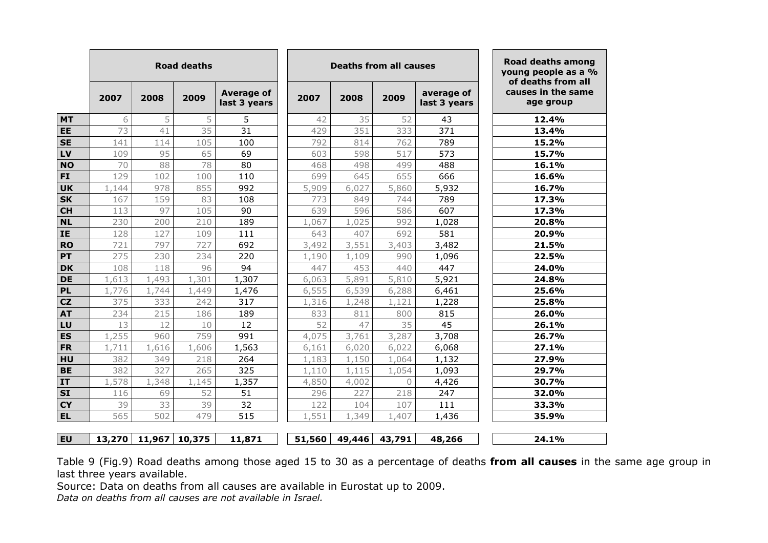|           |        |        | <b>Road deaths</b> |                            |        | <b>Deaths from all causes</b> |           |                            | Road deaths among<br>young people as a %<br>of deaths from all |
|-----------|--------|--------|--------------------|----------------------------|--------|-------------------------------|-----------|----------------------------|----------------------------------------------------------------|
|           | 2007   | 2008   | 2009               | Average of<br>last 3 years | 2007   | 2008                          | 2009      | average of<br>last 3 years | causes in the same<br>age group                                |
| <b>MT</b> | 6      | 5      | 5                  | 5                          | 42     | 35                            | 52        | 43                         | 12.4%                                                          |
| EE        | 73     | 41     | 35                 | 31                         | 429    | 351                           | 333       | 371                        | 13.4%                                                          |
| <b>SE</b> | 141    | 114    | 105                | 100                        | 792    | 814                           | 762       | 789                        | 15.2%                                                          |
| LV        | 109    | 95     | 65                 | 69                         | 603    | 598                           | 517       | 573                        | 15.7%                                                          |
| <b>NO</b> | 70     | 88     | 78                 | 80                         | 468    | 498                           | 499       | 488                        | 16.1%                                                          |
| <b>FI</b> | 129    | 102    | 100                | 110                        | 699    | 645                           | 655       | 666                        | 16.6%                                                          |
| <b>UK</b> | 1,144  | 978    | 855                | 992                        | 5,909  | 6,027                         | 5,860     | 5,932                      | 16.7%                                                          |
| <b>SK</b> | 167    | 159    | 83                 | 108                        | 773    | 849                           | 744       | 789                        | 17.3%                                                          |
| <b>CH</b> | 113    | 97     | 105                | 90                         | 639    | 596                           | 586       | 607                        | 17.3%                                                          |
| <b>NL</b> | 230    | 200    | 210                | 189                        | 1,067  | 1,025                         | 992       | 1,028                      | 20.8%                                                          |
| IE        | 128    | 127    | 109                | 111                        | 643    | 407                           | 692       | 581                        | 20.9%                                                          |
| <b>RO</b> | 721    | 797    | 727                | 692                        | 3,492  | 3,551                         | 3,403     | 3,482                      | 21.5%                                                          |
| PT        | 275    | 230    | 234                | 220                        | 1,190  | 1,109                         | 990       | 1,096                      | 22.5%                                                          |
| <b>DK</b> | 108    | 118    | 96                 | 94                         | 447    | 453                           | 440       | 447                        | 24.0%                                                          |
| <b>DE</b> | 1,613  | 1,493  | 1,301              | 1,307                      | 6,063  | 5,891                         | 5,810     | 5,921                      | 24.8%                                                          |
| PL        | 1,776  | 1,744  | 1,449              | 1,476                      | 6,555  | 6,539                         | 6,288     | 6,461                      | 25.6%                                                          |
| CZ        | 375    | 333    | 242                | 317                        | 1,316  | 1,248                         | 1,121     | 1,228                      | 25.8%                                                          |
| <b>AT</b> | 234    | 215    | 186                | 189                        | 833    | 811                           | 800       | 815                        | 26.0%                                                          |
| LU        | 13     | 12     | 10                 | 12                         | 52     | 47                            | 35        | 45                         | 26.1%                                                          |
| <b>ES</b> | 1,255  | 960    | 759                | 991                        | 4,075  | 3,761                         | 3,287     | 3,708                      | 26.7%                                                          |
| <b>FR</b> | 1,711  | 1,616  | 1,606              | 1,563                      | 6,161  | 6,020                         | 6,022     | 6,068                      | 27.1%                                                          |
| HU        | 382    | 349    | 218                | 264                        | 1,183  | 1,150                         | 1,064     | 1,132                      | 27.9%                                                          |
| <b>BE</b> | 382    | 327    | 265                | 325                        | 1,110  | 1,115                         | 1,054     | 1,093                      | 29.7%                                                          |
| <b>IT</b> | 1,578  | 1,348  | 1,145              | 1,357                      | 4,850  | 4,002                         | $\bigcap$ | 4,426                      | 30.7%                                                          |
| <b>SI</b> | 116    | 69     | 52                 | 51                         | 296    | 227                           | 218       | 247                        | 32.0%                                                          |
| <b>CY</b> | 39     | 33     | 39                 | 32                         | 122    | 104                           | 107       | 111                        | 33.3%                                                          |
| <b>EL</b> | 565    | 502    | 479                | 515                        | 1,551  | 1,349                         | 1,407     | 1,436                      | 35.9%                                                          |
| <b>EU</b> | 13,270 | 11,967 | 10,375             | 11,871                     | 51,560 | 49,446                        | 43,791    | 48,266                     | 24.1%                                                          |
|           |        |        |                    |                            |        |                               |           |                            |                                                                |

Table 9 (Fig.9) Road deaths among those aged 15 to 30 as a percentage of deaths **from all causes** in the same age group in<br>' last three years available.

Source: Data on deaths from all causes are available in Eurostat up to 2009.<br>Data on deaths from all causes are not available in Israel.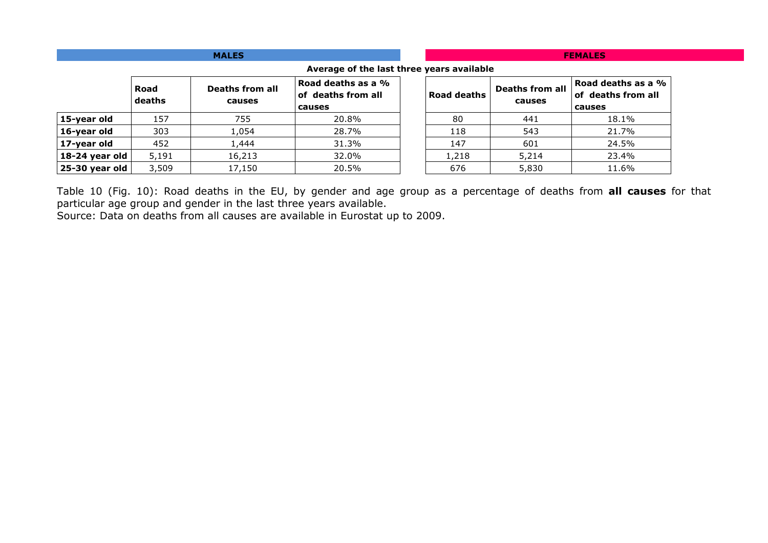|                                           |                | <b>MALES</b>              | <b>FEMALES</b>                                     |             |                                  |                                                    |  |  |  |
|-------------------------------------------|----------------|---------------------------|----------------------------------------------------|-------------|----------------------------------|----------------------------------------------------|--|--|--|
| Average of the last three years available |                |                           |                                                    |             |                                  |                                                    |  |  |  |
|                                           | Road<br>deaths | Deaths from all<br>causes | Road deaths as a %<br>of deaths from all<br>causes | Road deaths | <b>Deaths from all</b><br>causes | Road deaths as a %<br>of deaths from all<br>causes |  |  |  |
| 15-year old                               | 157            | 755                       | 20.8%                                              | 80          | 441                              | 18.1%                                              |  |  |  |
| 16-year old                               | 303            | 1,054                     | 28.7%                                              | 118         | 543                              | 21.7%                                              |  |  |  |
| 17-year old                               | 452            | 1,444                     | 31.3%                                              | 147         | 601                              | 24.5%                                              |  |  |  |
| 18-24 year old                            | 5,191          | 16,213                    | 32.0%                                              | 1,218       | 5,214                            | 23.4%                                              |  |  |  |
| 25-30 year old                            | 3,509          | 17,150                    | 20.5%                                              | 676         | 5,830                            | 11.6%                                              |  |  |  |

Table 10 (Fig. 10): Road deaths in the EU, by gender and age group as a percentage of deaths from all causes for that

particular age group and gender in the last three years available. Source: Data on deaths from all causes are available in Eurostat up to 2009.